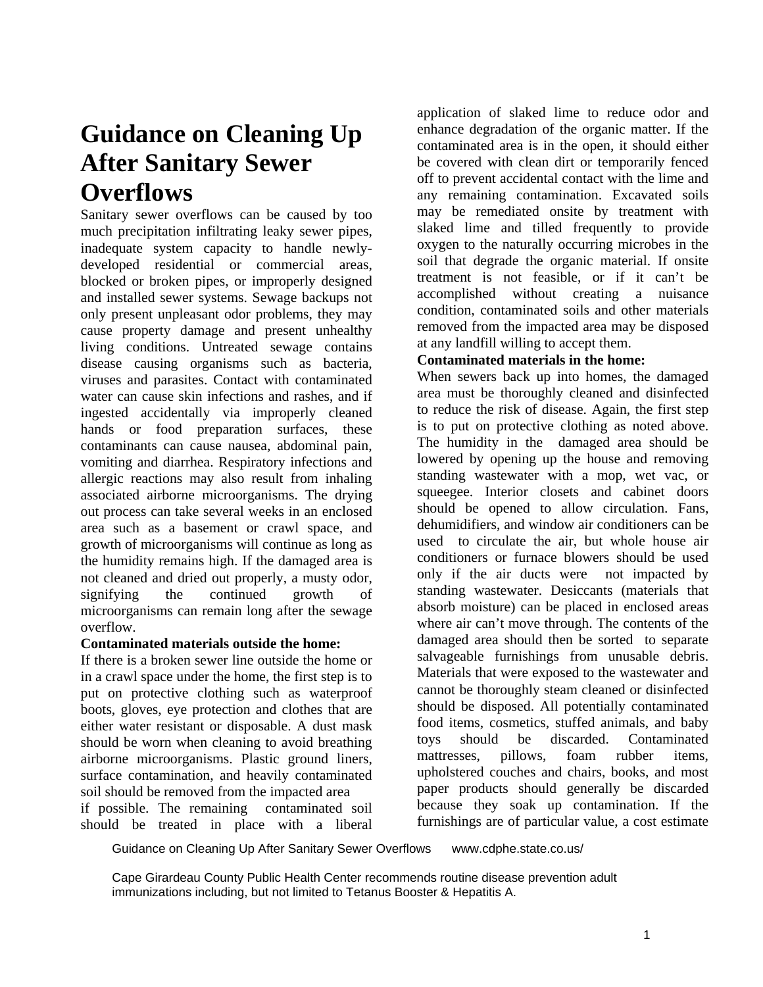## **Guidance on Cleaning Up After Sanitary Sewer Overflows**

Sanitary sewer overflows can be caused by too much precipitation infiltrating leaky sewer pipes, inadequate system capacity to handle newlydeveloped residential or commercial areas, blocked or broken pipes, or improperly designed and installed sewer systems. Sewage backups not only present unpleasant odor problems, they may cause property damage and present unhealthy living conditions. Untreated sewage contains disease causing organisms such as bacteria, viruses and parasites. Contact with contaminated water can cause skin infections and rashes, and if ingested accidentally via improperly cleaned hands or food preparation surfaces, these contaminants can cause nausea, abdominal pain, vomiting and diarrhea. Respiratory infections and allergic reactions may also result from inhaling associated airborne microorganisms. The drying out process can take several weeks in an enclosed area such as a basement or crawl space, and growth of microorganisms will continue as long as the humidity remains high. If the damaged area is not cleaned and dried out properly, a musty odor, signifying the continued growth of microorganisms can remain long after the sewage overflow.

## **Contaminated materials outside the home:**

If there is a broken sewer line outside the home or in a crawl space under the home, the first step is to put on protective clothing such as waterproof boots, gloves, eye protection and clothes that are either water resistant or disposable. A dust mask should be worn when cleaning to avoid breathing airborne microorganisms. Plastic ground liners, surface contamination, and heavily contaminated soil should be removed from the impacted area

if possible. The remaining contaminated soil should be treated in place with a liberal application of slaked lime to reduce odor and enhance degradation of the organic matter. If the contaminated area is in the open, it should either be covered with clean dirt or temporarily fenced off to prevent accidental contact with the lime and any remaining contamination. Excavated soils may be remediated onsite by treatment with slaked lime and tilled frequently to provide oxygen to the naturally occurring microbes in the soil that degrade the organic material. If onsite treatment is not feasible, or if it can't be accomplished without creating a nuisance condition, contaminated soils and other materials removed from the impacted area may be disposed at any landfill willing to accept them.

## **Contaminated materials in the home:**

When sewers back up into homes, the damaged area must be thoroughly cleaned and disinfected to reduce the risk of disease. Again, the first step is to put on protective clothing as noted above. The humidity in the damaged area should be lowered by opening up the house and removing standing wastewater with a mop, wet vac, or squeegee. Interior closets and cabinet doors should be opened to allow circulation. Fans, dehumidifiers, and window air conditioners can be used to circulate the air, but whole house air conditioners or furnace blowers should be used only if the air ducts were not impacted by standing wastewater. Desiccants (materials that absorb moisture) can be placed in enclosed areas where air can't move through. The contents of the damaged area should then be sorted to separate salvageable furnishings from unusable debris. Materials that were exposed to the wastewater and cannot be thoroughly steam cleaned or disinfected should be disposed. All potentially contaminated food items, cosmetics, stuffed animals, and baby toys should be discarded. Contaminated mattresses, pillows, foam rubber items, upholstered couches and chairs, books, and most paper products should generally be discarded because they soak up contamination. If the furnishings are of particular value, a cost estimate

Guidance on Cleaning Up After Sanitary Sewer Overflows www.cdphe.state.co.us/

Cape Girardeau County Public Health Center recommends routine disease prevention adult immunizations including, but not limited to Tetanus Booster & Hepatitis A.